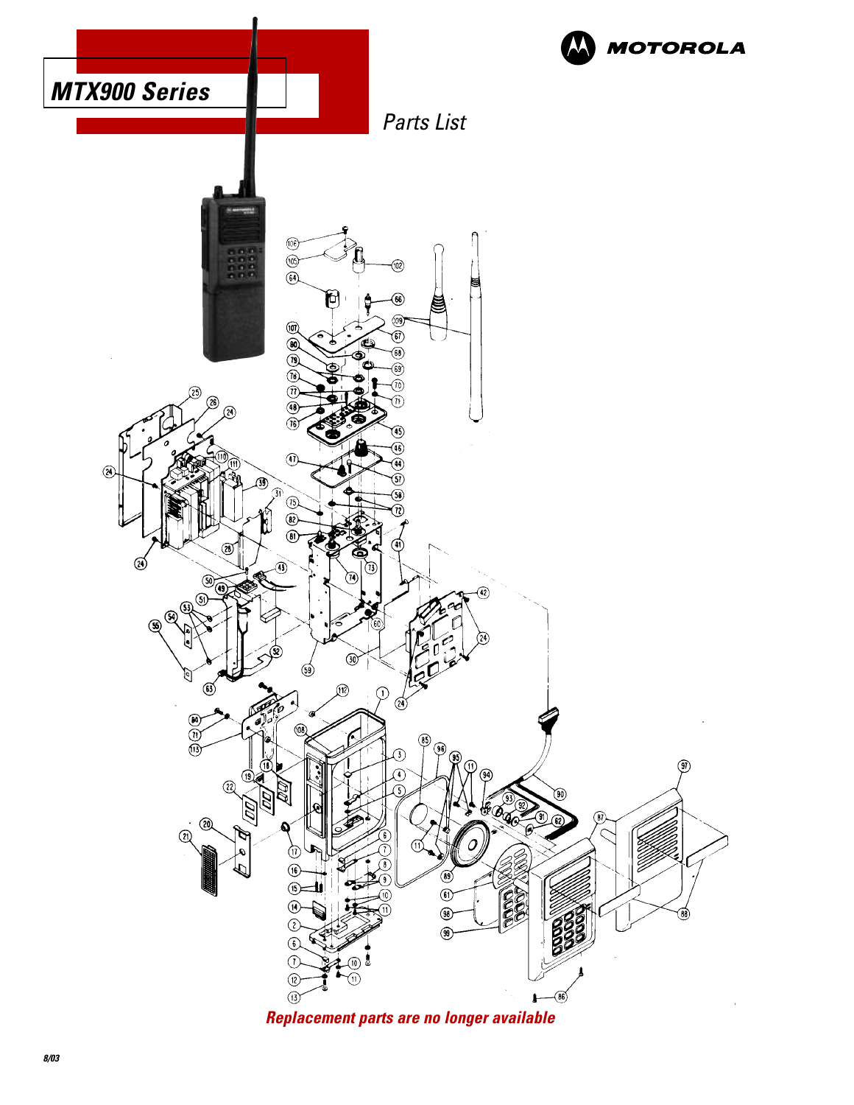

**Replacement parts are no longer available**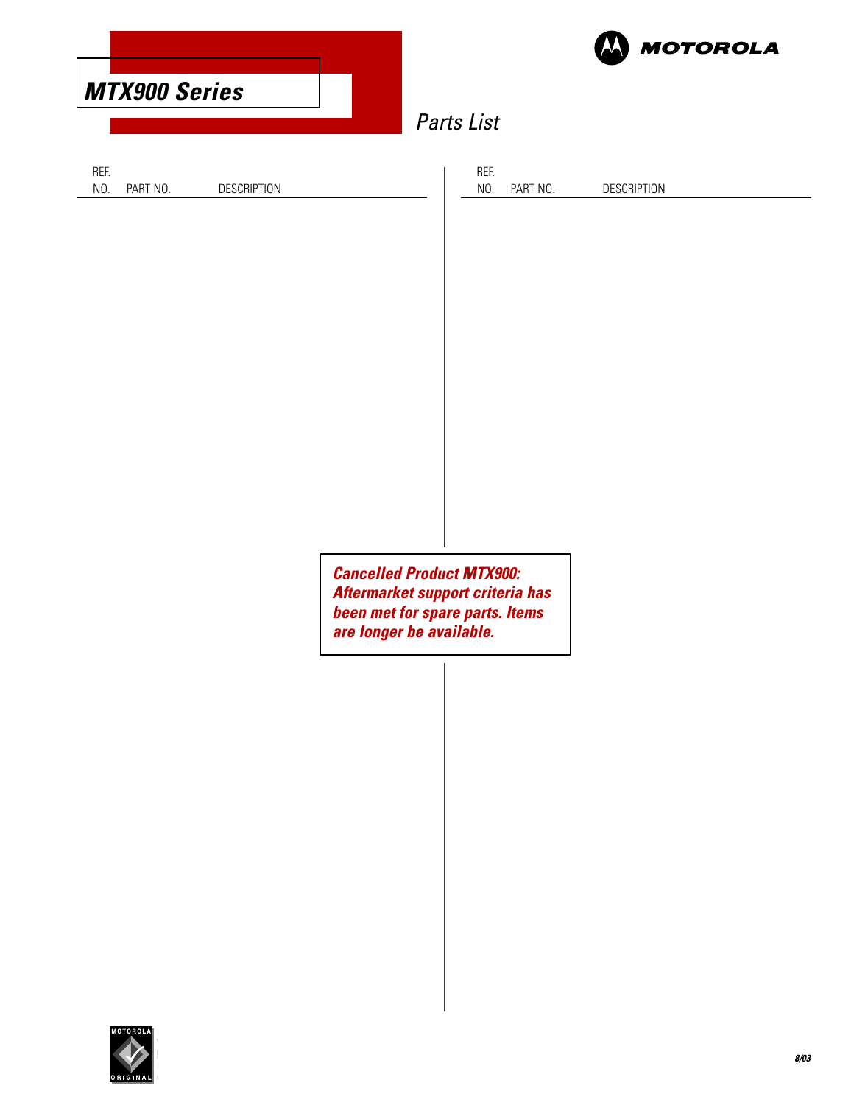| <b>MTX900 Series</b> |             |                                                                                                                                     | <b>MOTOROLA</b><br><b>Parts List</b> |                    |
|----------------------|-------------|-------------------------------------------------------------------------------------------------------------------------------------|--------------------------------------|--------------------|
| PART NO.             | DESCRIPTION |                                                                                                                                     | REF.<br>NO.<br>PART NO.              | <b>DESCRIPTION</b> |
|                      |             |                                                                                                                                     |                                      |                    |
|                      |             |                                                                                                                                     |                                      |                    |
|                      |             |                                                                                                                                     |                                      |                    |
|                      |             | <b>Cancelled Product MTX900:</b><br>Aftermarket support criteria has<br>been met for spare parts. Items<br>are longer be available. |                                      |                    |

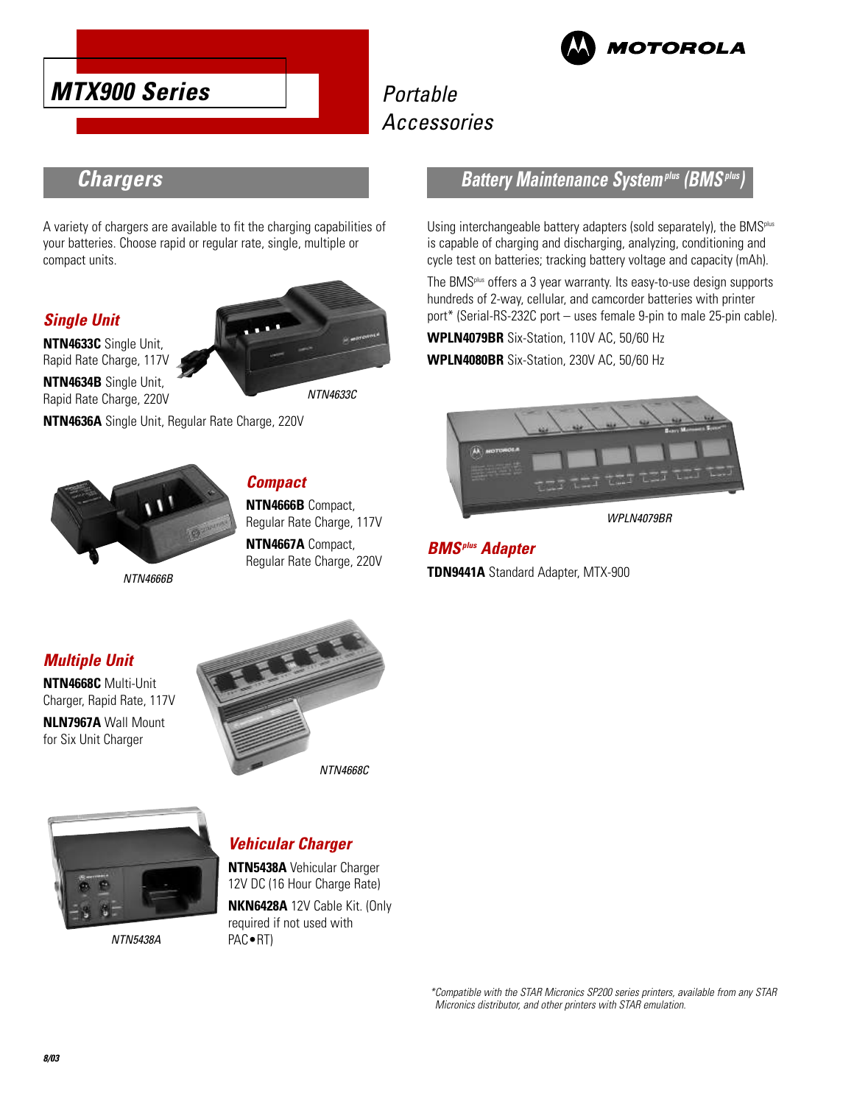



# **Chargers**

A variety of chargers are available to fit the charging capabilities of your batteries. Choose rapid or regular rate, single, multiple or compact units.

### **Single Unit**

**NTN4633C** Single Unit, Rapid Rate Charge, 117V **NTN4634B** Single Unit, Rapid Rate Charge, 220V



NTN4633C



**NTN4636A** Single Unit, Regular Rate Charge, 220V

NTN4666B

# **Compact**

**NTN4666B** Compact, Regular Rate Charge, 117V

**NTN4667A** Compact, Regular Rate Charge, 220V

### **Battery Maintenance Systemplus (BMSplus)**

Using interchangeable battery adapters (sold separately), the BMS<sup>plus</sup> is capable of charging and discharging, analyzing, conditioning and cycle test on batteries; tracking battery voltage and capacity (mAh).

The BMSplus offers a 3 year warranty. Its easy-to-use design supports hundreds of 2-way, cellular, and camcorder batteries with printer port\* (Serial-RS-232C port – uses female 9-pin to male 25-pin cable).

**WPLN4079BR** Six-Station, 110V AC, 50/60 Hz

**WPLN4080BR** Six-Station, 230V AC, 50/60 Hz



WPI N4079BR

**BMSplus Adapter TDN9441A** Standard Adapter, MTX-900

### **Multiple Unit**

**NTN4668C** Multi-Unit Charger, Rapid Rate, 117V **NLN7967A** Wall Mount for Six Unit Charger



NTN4668C



NTN5438A

### **Vehicular Charger**

**NTN5438A** Vehicular Charger 12V DC (16 Hour Charge Rate) **NKN6428A** 12V Cable Kit. (Only required if not used with PAC•RT)

> \*Compatible with the STAR Micronics SP200 series printers, available from any STAR Micronics distributor, and other printers with STAR emulation.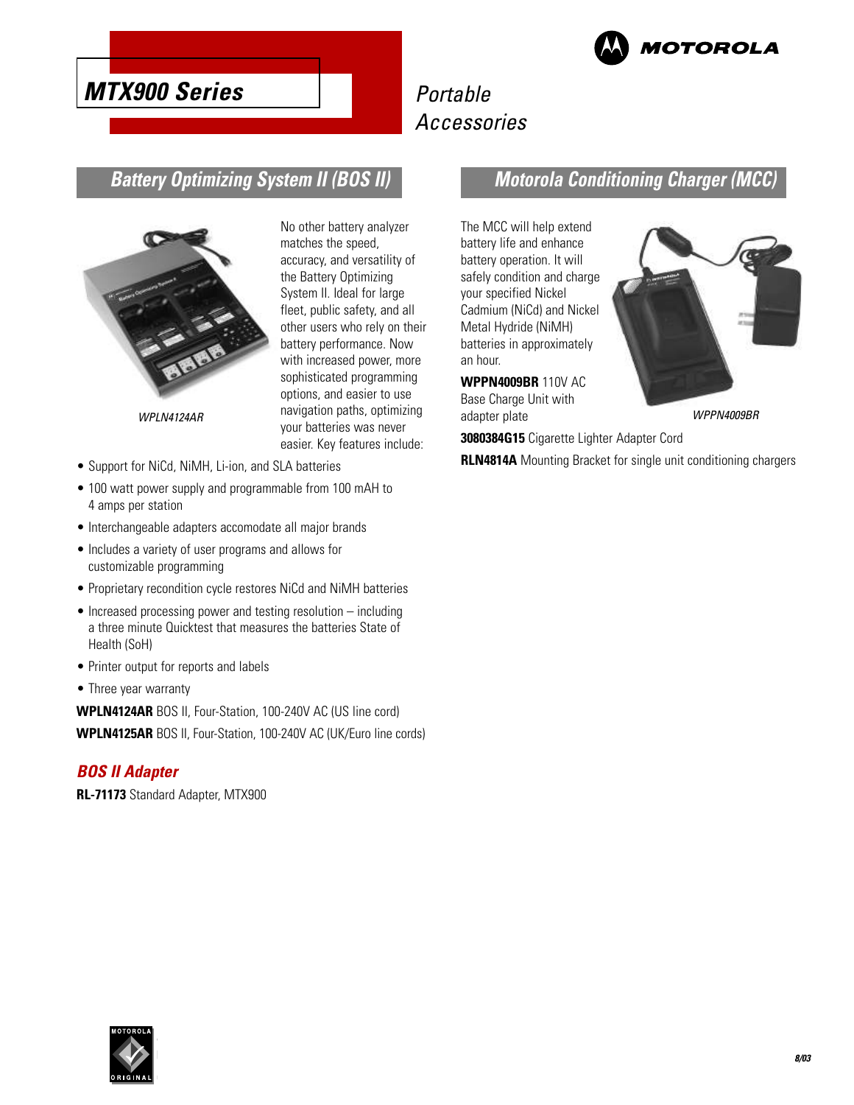

# **MTX900 Series**

# Portable Accessories

# **Battery Optimizing System II (BOS II)**



No other battery analyzer matches the speed, accuracy, and versatility of the Battery Optimizing System II. Ideal for large fleet, public safety, and all other users who rely on their battery performance. Now with increased power, more sophisticated programming options, and easier to use WPLN4124AR mavigation paths, optimizing adapter plate many management of the control of the control of the control of the control of the control of the control of the control of the control of the control of the control of your batteries was never easier. Key features include:

- Support for NiCd, NiMH, Li-ion, and SLA batteries
- 100 watt power supply and programmable from 100 mAH to 4 amps per station
- Interchangeable adapters accomodate all major brands
- Includes a variety of user programs and allows for customizable programming
- Proprietary recondition cycle restores NiCd and NiMH batteries
- Increased processing power and testing resolution including a three minute Quicktest that measures the batteries State of Health (SoH)
- Printer output for reports and labels
- Three year warranty

**WPLN4124AR** BOS II, Four-Station, 100-240V AC (US line cord) **WPLN4125AR** BOS II, Four-Station, 100-240V AC (UK/Euro line cords)

#### **BOS II Adapter**

**RL-71173** Standard Adapter, MTX900

# **Motorola Conditioning Charger (MCC)**

The MCC will help extend battery life and enhance battery operation. It will safely condition and charge your specified Nickel Cadmium (NiCd) and Nickel Metal Hydride (NiMH) batteries in approximately an hour.

**WPPN4009BR** 110V AC Base Charge Unit with adapter plate

**3080384G15** Cigarette Lighter Adapter Cord

**RLN4814A** Mounting Bracket for single unit conditioning chargers

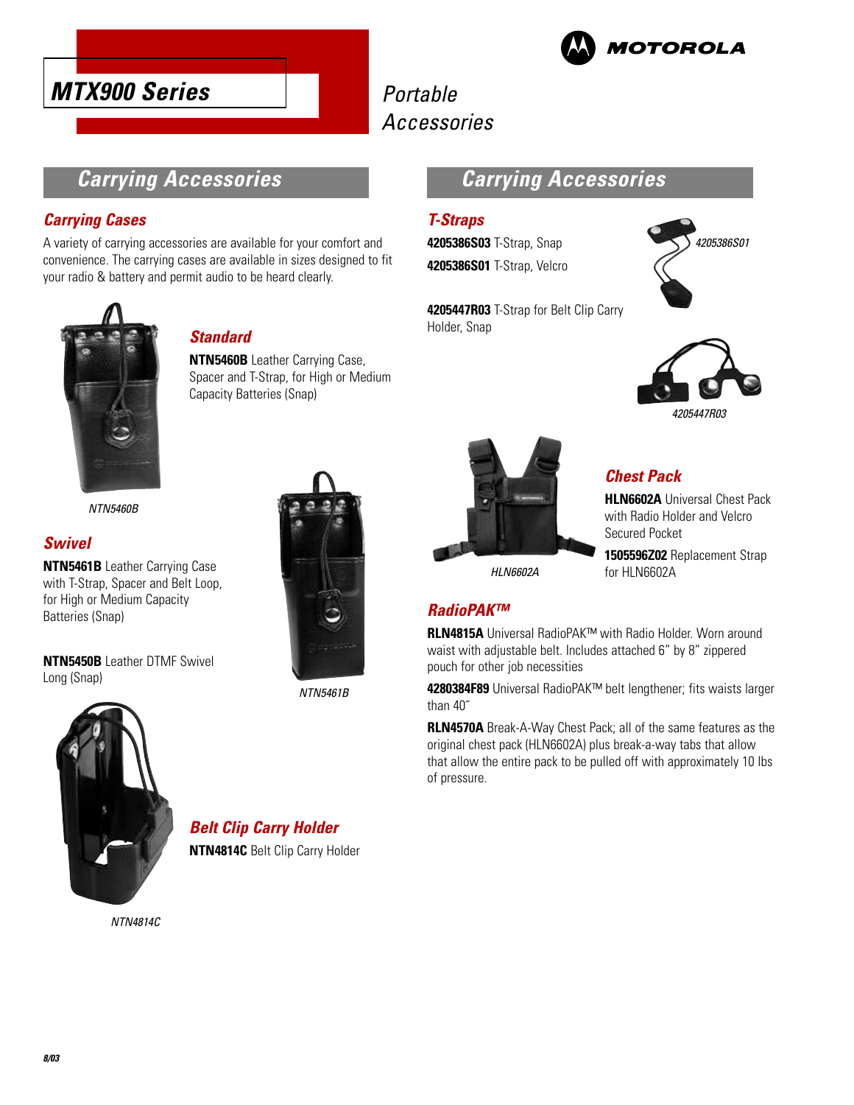



### **Carrying Accessories**

### **Carrying Cases**

A variety of carrying accessories are available for your comfort and convenience. The carrying cases are available in sizes designed to fit your radio & battery and permit audio to be heard clearly.



### **Standard**

**NTN5460B** Leather Carrying Case, Spacer and T-Strap, for High or Medium Capacity Batteries (Snap)

NTN5460B

### **Swivel**

Long (Snap)

**NTN5461B** Leather Carrying Case with T-Strap, Spacer and Belt Loop, for High or Medium Capacity Batteries (Snap)

**NTN5450B** Leather DTMF Swivel



NTN5461B



# **Belt Clip Carry Holder**

**NTN4814C** Belt Clip Carry Holder

NTN4814C



### **T-Straps**

**4205386S03** T-Strap, Snap **4205386S01** T-Strap, Velcro



**4205447R03** T-Strap for Belt Clip Carry Holder, Snap





### **Chest Pack**

**HLN6602A** Universal Chest Pack with Radio Holder and Velcro Secured Pocket

**1505596Z02** Replacement Strap for HI N6602A

### **RadioPAK™**

**RLN4815A** Universal RadioPAK™ with Radio Holder. Worn around waist with adjustable belt. Includes attached 6" by 8" zippered pouch for other job necessities

**4280384F89** Universal RadioPAK™ belt lengthener; fits waists larger than 40˝

**RLN4570A** Break-A-Way Chest Pack; all of the same features as the original chest pack (HLN6602A) plus break-a-way tabs that allow that allow the entire pack to be pulled off with approximately 10 lbs of pressure.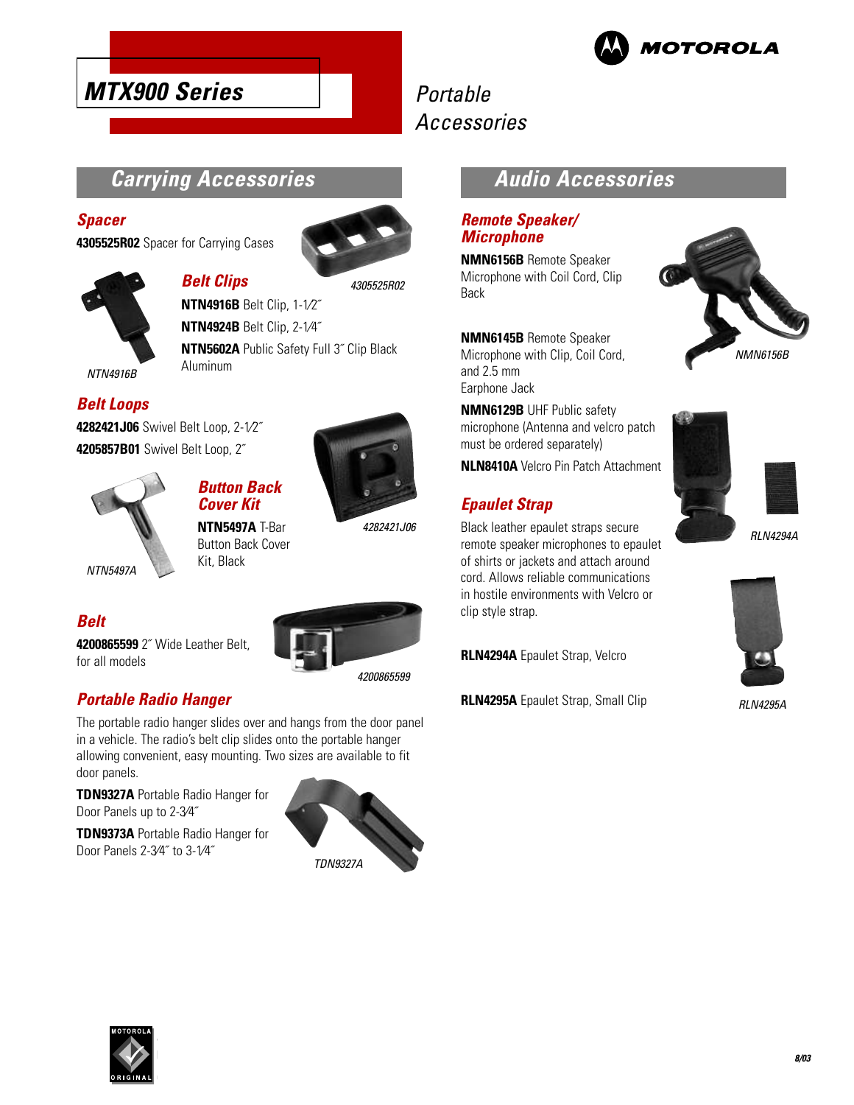

# **MTX900 Series**

# Portable Accessories

### **Carrying Accessories**

**Belt Clips**

#### **Spacer**

**4305525R02** Spacer for Carrying Cases



4305525R02



**NTN4916B** Belt Clip, 1-1⁄2˝ **NTN4924B** Belt Clip, 2-1⁄4˝ **NTN5602A** Public Safety Full 3˝ Clip Black Aluminum

NTN4916B

### **Belt Loops**

**4282421J06** Swivel Belt Loop, 2-1⁄2˝ **4205857B01** Swivel Belt Loop, 2˝



**Belt**

for all models

**Button Back Cover Kit**



4282421J06

**4200865599** 2˝ Wide Leather Belt,

**NTN5497A** T-Bar Button Back Cover Kit, Black



4200865599

### **Portable Radio Hanger**

The portable radio hanger slides over and hangs from the door panel in a vehicle. The radio's belt clip slides onto the portable hanger allowing convenient, easy mounting. Two sizes are available to fit door panels.

**TDN9327A** Portable Radio Hanger for Door Panels up to 2-3⁄4˝

**TDN9373A** Portable Radio Hanger for

Door Panels 2-3⁄4˝ to 3-1⁄4˝



### **Audio Accessories**

### **Remote Speaker/ Microphone**

**NMN6156B** Remote Speaker Microphone with Coil Cord, Clip Back

**NMN6145B** Remote Speaker Microphone with Clip, Coil Cord, and 2.5 mm Earphone Jack



**NLN8410A** Velcro Pin Patch Attachment

### **Epaulet Strap**

Black leather epaulet straps secure remote speaker microphones to epaulet of shirts or jackets and attach around cord. Allows reliable communications in hostile environments with Velcro or clip style strap.

**RLN4294A** Epaulet Strap, Velcro

**RLN4295A** Epaulet Strap, Small Clip







RLN4295A

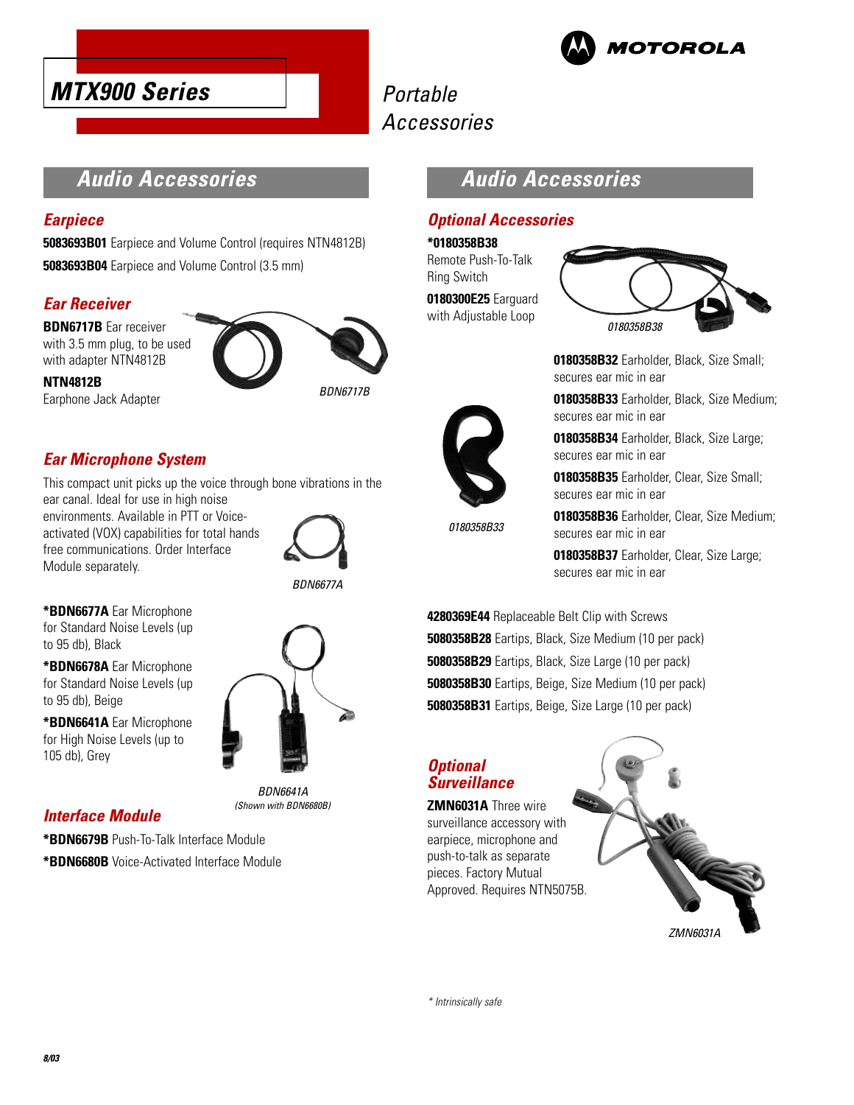





# Accessories

# **Audio Accessories**

#### **Earpiece**

**5083693B01** Earpiece and Volume Control (requires NTN4812B) **5083693B04** Earpiece and Volume Control (3.5 mm)

### **Ear Receiver**

**NTN4812B**

**BDN6717B** Ear receiver with 3.5 mm plug, to be used with adapter NTN4812B



Earphone Jack Adapter

BDN6717B

### **Ear Microphone System**

This compact unit picks up the voice through bone vibrations in the ear canal. Ideal for use in high noise

environments. Available in PTT or Voiceactivated (VOX) capabilities for total hands free communications. Order Interface Module separately.



BDN6641A (Shown with BDN6680B)

**\*BDN6677A** Ear Microphone for Standard Noise Levels (up to 95 db), Black

**\*BDN6678A** Ear Microphone for Standard Noise Levels (up to 95 db), Beige

**\*BDN6641A** Ear Microphone for High Noise Levels (up to 105 db), Grey

### **Interface Module**

**\*BDN6679B** Push-To-Talk Interface Module

**\*BDN6680B** Voice-Activated Interface Module

# **Audio Accessories**

### **Optional Accessories**

**\*0180358B38**

Remote Push-To-Talk Ring Switch

**0180300E25** Earguard with Adjustable Loop



**0180358B32** Earholder, Black, Size Small; secures ear mic in ear

**0180358B33** Earholder, Black, Size Medium; secures ear mic in ear

**0180358B34** Earholder, Black, Size Large; secures ear mic in ear

**0180358B35** Earholder, Clear, Size Small; secures ear mic in ear

0180358B33

**0180358B36** Earholder, Clear, Size Medium; secures ear mic in ear

**0180358B37** Earholder, Clear, Size Large; secures ear mic in ear

**4280369E44** Replaceable Belt Clip with Screws **5080358B28** Eartips, Black, Size Medium (10 per pack) **5080358B29** Eartips, Black, Size Large (10 per pack) **5080358B30** Eartips, Beige, Size Medium (10 per pack) **5080358B31** Eartips, Beige, Size Large (10 per pack)

### **Optional Surveillance**

**ZMN6031A** Three wire surveillance accessory with earpiece, microphone and push-to-talk as separate pieces. Factory Mutual Approved. Requires NTN5075B.



\* Intrinsically safe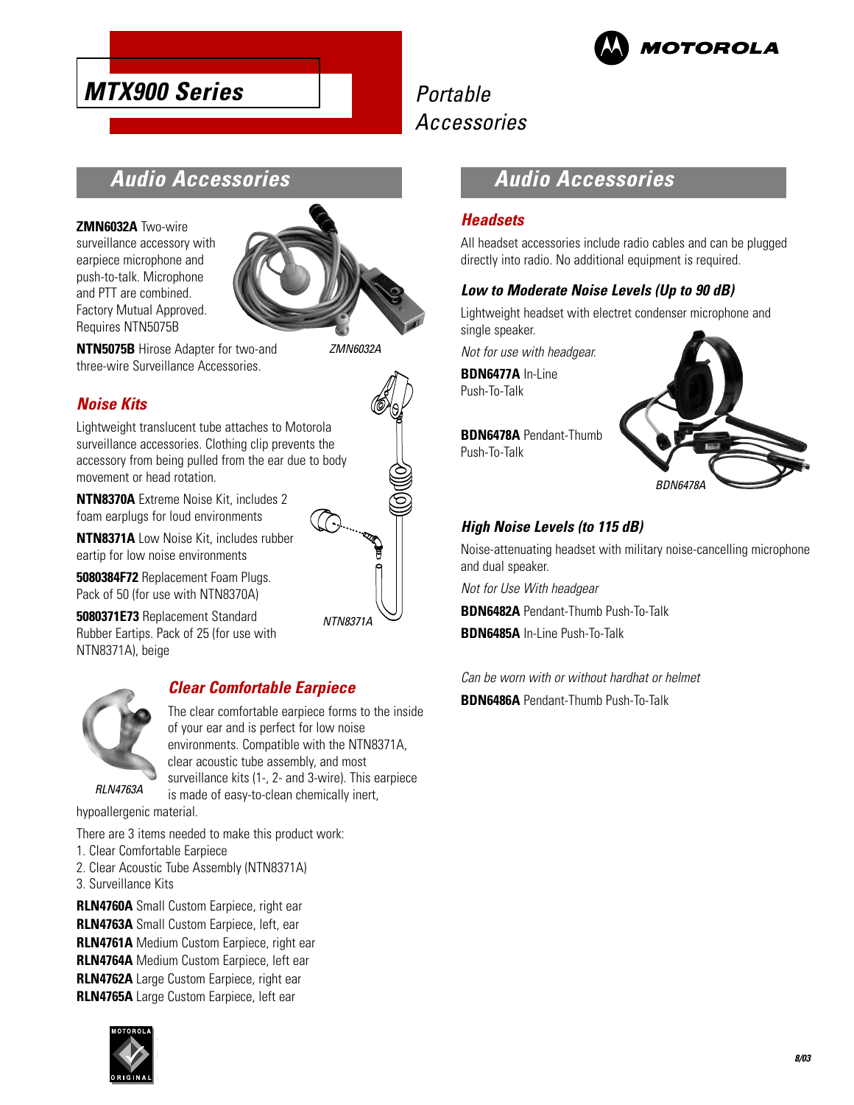

# **Audio Accessories**

**ZMN6032A** Two-wire

surveillance accessory with earpiece microphone and push-to-talk. Microphone and PTT are combined. Factory Mutual Approved. Requires NTN5075B

**MTX900 Series**



**NTN5075B** Hirose Adapter for two-and three-wire Surveillance Accessories.

ZMN6032A

### **Noise Kits**

Lightweight translucent tube attaches to Motorola surveillance accessories. Clothing clip prevents the accessory from being pulled from the ear due to body movement or head rotation.

**NTN8370A** Extreme Noise Kit, includes 2 foam earplugs for loud environments

**NTN8371A** Low Noise Kit, includes rubber eartip for low noise environments

**5080384F72** Replacement Foam Plugs. Pack of 50 (for use with NTN8370A)

**5080371E73** Replacement Standard Rubber Eartips. Pack of 25 (for use with NTN8371A), beige





### **Clear Comfortable Earpiece**

The clear comfortable earpiece forms to the inside of your ear and is perfect for low noise environments. Compatible with the NTN8371A, clear acoustic tube assembly, and most surveillance kits (1-, 2- and 3-wire). This earpiece is made of easy-to-clean chemically inert,

RLN4763A

hypoallergenic material.

There are 3 items needed to make this product work:

- 1. Clear Comfortable Earpiece
- 2. Clear Acoustic Tube Assembly (NTN8371A)
- 3. Surveillance Kits

**RLN4760A** Small Custom Earpiece, right ear **RLN4763A** Small Custom Earpiece, left, ear **RLN4761A** Medium Custom Earpiece, right ear **RLN4764A** Medium Custom Earpiece, left ear **RLN4762A** Large Custom Earpiece, right ear **RLN4765A** Large Custom Earpiece, left ear



# **Audio Accessories**

#### **Headsets**

All headset accessories include radio cables and can be plugged directly into radio. No additional equipment is required.

#### **Low to Moderate Noise Levels (Up to 90 dB)**

Lightweight headset with electret condenser microphone and single speaker.

Not for use with headgear.

**BDN6477A** In-Line Push-To-Talk

**BDN6478A** Pendant-Thumb Push-To-Talk



### **High Noise Levels (to 115 dB)**

Noise-attenuating headset with military noise-cancelling microphone and dual speaker.

Not for Use With headgear

**BDN6482A** Pendant-Thumb Push-To-Talk **BDN6485A** In-Line Push-To-Talk

Can be worn with or without hardhat or helmet **BDN6486A** Pendant-Thumb Push-To-Talk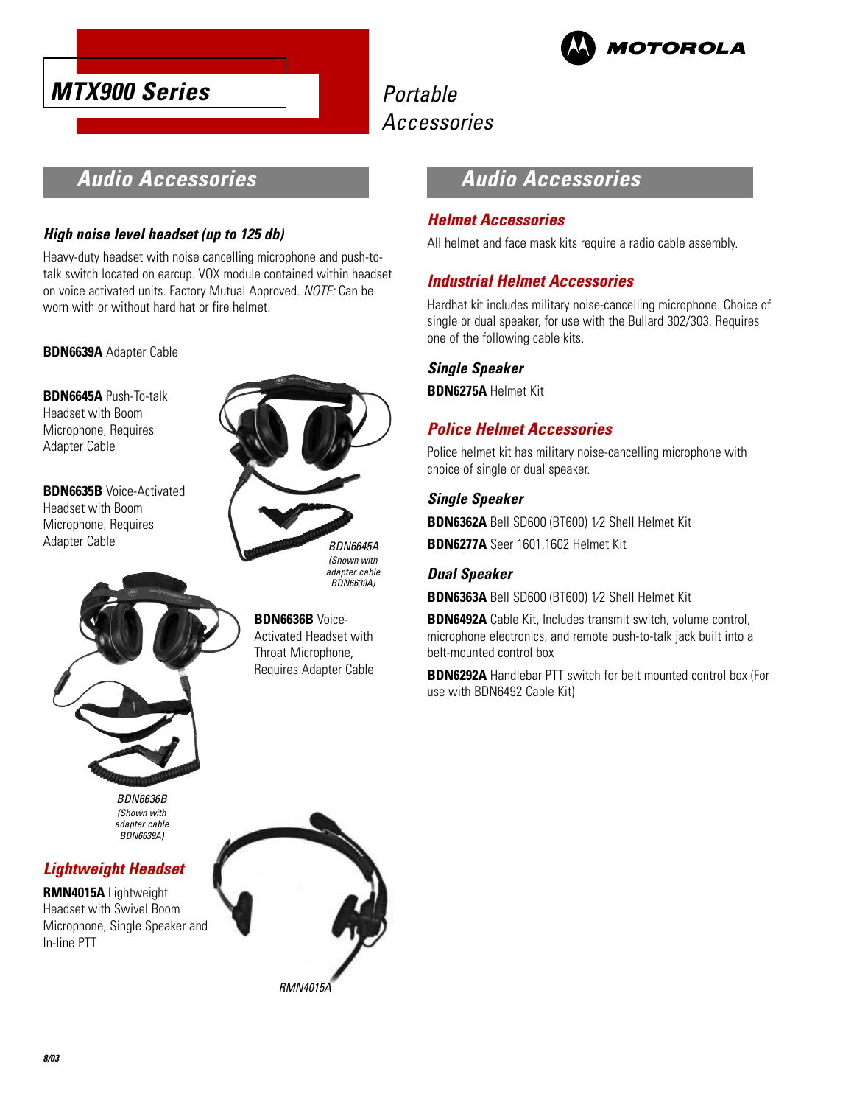



# **Audio Accessories**

### **High noise level headset (up to 125 db)**

Heavy-duty headset with noise cancelling microphone and push-totalk switch located on earcup. VOX module contained within headset on voice activated units. Factory Mutual Approved. NOTE: Can be worn with or without hard hat or fire helmet.

**BDN6639A** Adapter Cable

**BDN6645A** Push-To-talk Headset with Boom Microphone, Requires Adapter Cable

**BDN6635B** Voice-Activated Headset with Boom Microphone, Requires Adapter Cable



BDN6639A)

**BDN6636B** Voice-Activated Headset with Throat Microphone, Requires Adapter Cable

# **Audio Accessories**

### **Helmet Accessories**

All helmet and face mask kits require a radio cable assembly.

### **Industrial Helmet Accessories**

Hardhat kit includes military noise-cancelling microphone. Choice of single or dual speaker, for use with the Bullard 302/303. Requires one of the following cable kits.

#### **Single Speaker**

**BDN6275A** Helmet Kit

### **Police Helmet Accessories**

Police helmet kit has military noise-cancelling microphone with choice of single or dual speaker.

### **Single Speaker**

**BDN6362A** Bell SD600 (BT600) 1⁄2 Shell Helmet Kit

**BDN6277A** Seer 1601,1602 Helmet Kit

### **Dual Speaker**

**BDN6363A** Bell SD600 (BT600) 1⁄2 Shell Helmet Kit

**BDN6492A** Cable Kit, Includes transmit switch, volume control, microphone electronics, and remote push-to-talk jack built into a belt-mounted control box

**BDN6292A** Handlebar PTT switch for belt mounted control box (For use with BDN6492 Cable Kit)

BDN6636B (Shown with adapter cable BDN6639A)

### **Lightweight Headset**

**RMN4015A** Lightweight Headset with Swivel Boom Microphone, Single Speaker and In-line PTT

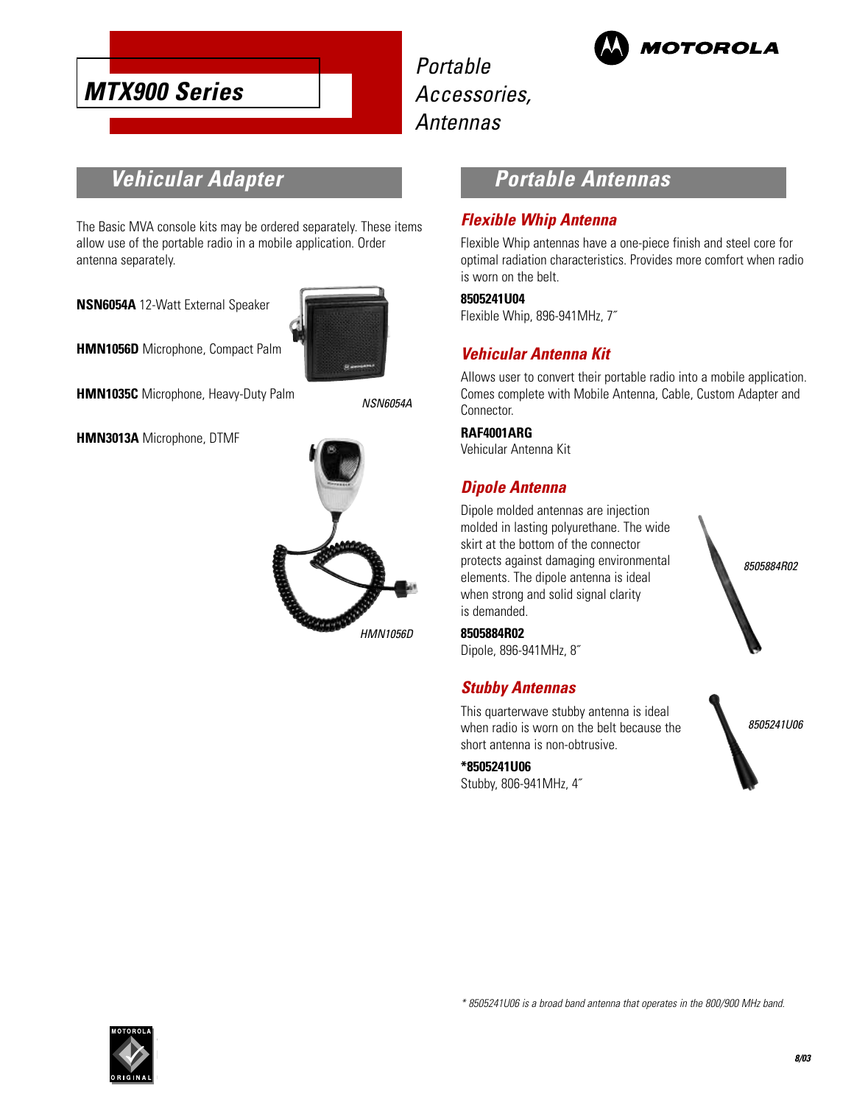

Portable Accessories, Antennas



# **Vehicular Adapter**

The Basic MVA console kits may be ordered separately. These items allow use of the portable radio in a mobile application. Order antenna separately.

**NSN6054A** 12-Watt External Speaker



**HMN1056D** Microphone, Compact Palm

**HMN1035C** Microphone, Heavy-Duty Palm

NSN6054A

**HMN3013A** Microphone, DTMF



# **Portable Antennas**

#### **Flexible Whip Antenna**

Flexible Whip antennas have a one-piece finish and steel core for optimal radiation characteristics. Provides more comfort when radio is worn on the belt.

#### **8505241U04**

Flexible Whip, 896-941MHz, 7˝

### **Vehicular Antenna Kit**

Allows user to convert their portable radio into a mobile application. Comes complete with Mobile Antenna, Cable, Custom Adapter and Connector.

#### **RAF4001ARG**

Vehicular Antenna Kit

### **Dipole Antenna**

Dipole molded antennas are injection molded in lasting polyurethane. The wide skirt at the bottom of the connector protects against damaging environmental elements. The dipole antenna is ideal when strong and solid signal clarity is demanded.



Dipole, 896-941MHz, 8˝

#### **Stubby Antennas**

This quarterwave stubby antenna is ideal when radio is worn on the belt because the short antenna is non-obtrusive.

**\*8505241U06** Stubby, 806-941MHz, 4˝





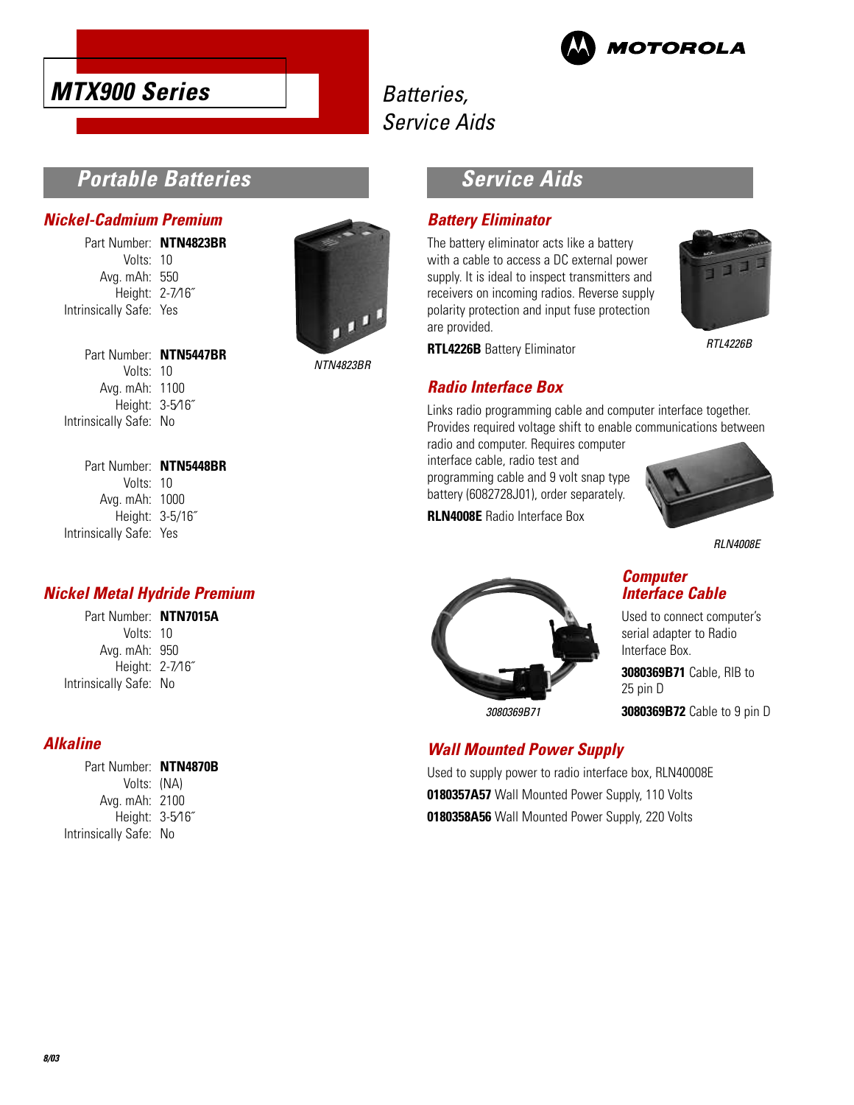



# Batteries, Service Aids

### **Portable Batteries**

#### **Nickel-Cadmium Premium**

Part Number: **NTN4823BR** Volts: 10 Avg. mAh: 550 Height: 2-7⁄16˝ Intrinsically Safe: Yes

> Part Number: **NTN5447BR** Volts: 10 Avg. mAh: 1100 Height: 3-5⁄16˝



NTN4823BR

# **Service Aids**

#### **Battery Eliminator**

The battery eliminator acts like a battery with a cable to access a DC external power supply. It is ideal to inspect transmitters and receivers on incoming radios. Reverse supply polarity protection and input fuse protection are provided.



RTL4226B

**RTL4226B** Battery Eliminator

### **Radio Interface Box**

Links radio programming cable and computer interface together. Provides required voltage shift to enable communications between

radio and computer. Requires computer interface cable, radio test and programming cable and 9 volt snap type battery (6082728J01), order separately.

**RLN4008E** Radio Interface Box



RLN4008E

#### **Computer Interface Cable**

Used to connect computer's serial adapter to Radio Interface Box.

**3080369B71** Cable, RIB to 25 pin D

**3080369B72** Cable to 9 pin D

### **Wall Mounted Power Supply**

3080369B71

Used to supply power to radio interface box, RLN40008E **0180357A57** Wall Mounted Power Supply, 110 Volts **0180358A56** Wall Mounted Power Supply, 220 Volts

Part Number: **NTN5448BR** Volts: 10 Avg. mAh: 1000 Height: 3-5/16˝ Intrinsically Safe: Yes

Intrinsically Safe: No

### **Nickel Metal Hydride Premium**

Part Number: **NTN7015A** Volts: 10 Avg. mAh: 950 Height: 2-7⁄16˝ Intrinsically Safe: No

### **Alkaline**

| Part Number: NTN4870B  |  |
|------------------------|--|
| Volts: (NA)            |  |
| Avg. mAh: 2100         |  |
| Height: 3-5/16"        |  |
| Intrinsically Safe: No |  |
|                        |  |